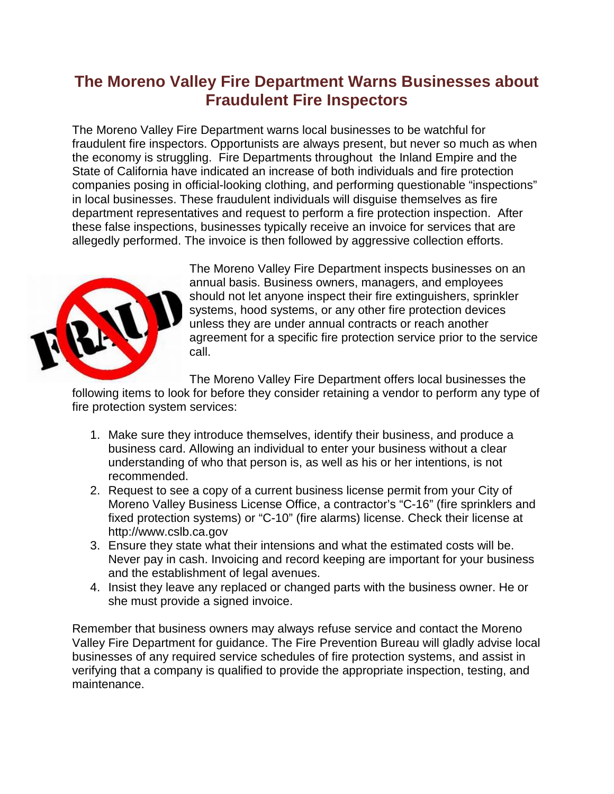## **The Moreno Valley Fire Department Warns Businesses about Fraudulent Fire Inspectors**

The Moreno Valley Fire Department warns local businesses to be watchful for fraudulent fire inspectors. Opportunists are always present, but never so much as when the economy is struggling. Fire Departments throughout the Inland Empire and the State of California have indicated an increase of both individuals and fire protection companies posing in official-looking clothing, and performing questionable "inspections" in local businesses. These fraudulent individuals will disguise themselves as fire department representatives and request to perform a fire protection inspection. After these false inspections, businesses typically receive an invoice for services that are allegedly performed. The invoice is then followed by aggressive collection efforts.



The Moreno Valley Fire Department inspects businesses on an annual basis. Business owners, managers, and employees should not let anyone inspect their fire extinguishers, sprinkler systems, hood systems, or any other fire protection devices unless they are under annual contracts or reach another agreement for a specific fire protection service prior to the service call.

The Moreno Valley Fire Department offers local businesses the following items to look for before they consider retaining a vendor to perform any type of

fire protection system services:

- 1. Make sure they introduce themselves, identify their business, and produce a business card. Allowing an individual to enter your business without a clear understanding of who that person is, as well as his or her intentions, is not recommended.
- 2. Request to see a copy of a current business license permit from your City of Moreno Valley Business License Office, a contractor's "C-16" (fire sprinklers and fixed protection systems) or "C-10" (fire alarms) license. Check their license at http://www.cslb.ca.gov
- 3. Ensure they state what their intensions and what the estimated costs will be. Never pay in cash. Invoicing and record keeping are important for your business and the establishment of legal avenues.
- 4. Insist they leave any replaced or changed parts with the business owner. He or she must provide a signed invoice.

Remember that business owners may always refuse service and contact the Moreno Valley Fire Department for guidance. The Fire Prevention Bureau will gladly advise local businesses of any required service schedules of fire protection systems, and assist in verifying that a company is qualified to provide the appropriate inspection, testing, and maintenance.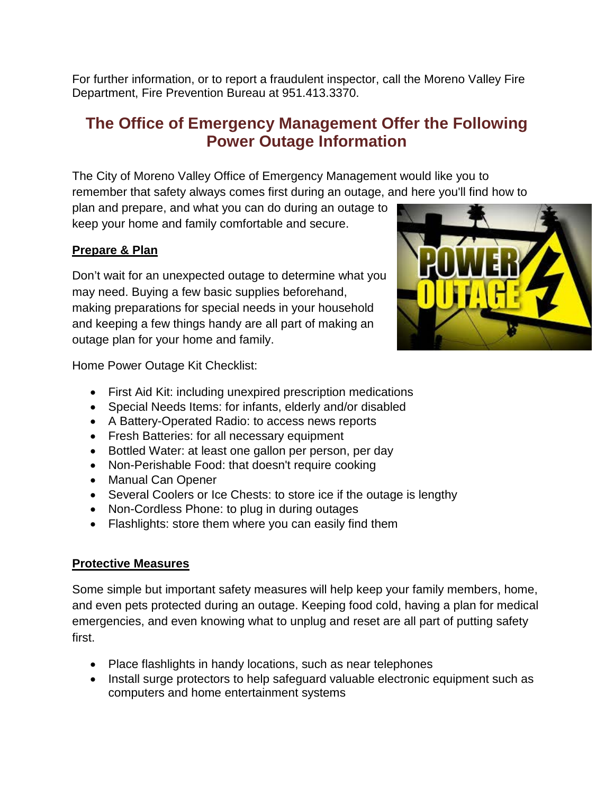For further information, or to report a fraudulent inspector, call the Moreno Valley Fire Department, Fire Prevention Bureau at 951.413.3370.

## **The Office of Emergency Management Offer the Following Power Outage Information**

The City of Moreno Valley Office of Emergency Management would like you to remember that safety always comes first during an outage, and here you'll find how to plan and prepare, and what you can do during an outage to

keep your home and family comfortable and secure.

## **Prepare & Plan**

Don't wait for an unexpected outage to determine what you may need. Buying a few basic supplies beforehand, making preparations for special needs in your household and keeping a few things handy are all part of making an outage plan for your home and family.

Home Power Outage Kit Checklist:

- First Aid Kit: including unexpired prescription medications
- Special Needs Items: for infants, elderly and/or disabled
- A Battery-Operated Radio: to access news reports
- Fresh Batteries: for all necessary equipment
- Bottled Water: at least one gallon per person, per day
- Non-Perishable Food: that doesn't require cooking
- Manual Can Opener
- Several Coolers or Ice Chests: to store ice if the outage is lengthy
- Non-Cordless Phone: to plug in during outages
- Flashlights: store them where you can easily find them

## **Protective Measures**

Some simple but important safety measures will help keep your family members, home, and even pets protected during an outage. Keeping food cold, having a plan for medical emergencies, and even knowing what to unplug and reset are all part of putting safety first.

- Place flashlights in handy locations, such as near telephones
- Install surge protectors to help safeguard valuable electronic equipment such as computers and home entertainment systems